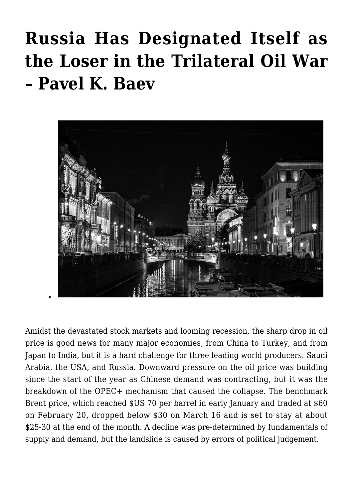## **[Russia Has Designated Itself as](https://www.uikpanorama.com/blog/2020/03/25/russia-has-designated-itself-as-the-loser-in-the-trilateral-oil-war-pavel-k-baev/) [the Loser in the Trilateral Oil War](https://www.uikpanorama.com/blog/2020/03/25/russia-has-designated-itself-as-the-loser-in-the-trilateral-oil-war-pavel-k-baev/) [– Pavel K. Baev](https://www.uikpanorama.com/blog/2020/03/25/russia-has-designated-itself-as-the-loser-in-the-trilateral-oil-war-pavel-k-baev/)**



Amidst the devastated stock markets and looming recession, the sharp drop in oil price is good news for many major economies, from China to Turkey, and from Japan to India, but it is a hard challenge for three leading world producers: Saudi Arabia, the USA, and Russia. Downward pressure on the oil price was building since the start of the year as Chinese demand was contracting, but it was the breakdown of the OPEC+ mechanism that caused the collapse. The benchmark Brent price, which reached \$US 70 per barrel in early January and traded at \$60 on February 20, dropped below \$30 on March 16 and is set to stay at about \$25-30 at the end of the month. A decline was pre-determined by fundamentals of supply and demand, but the landslide is caused by errors of political judgement.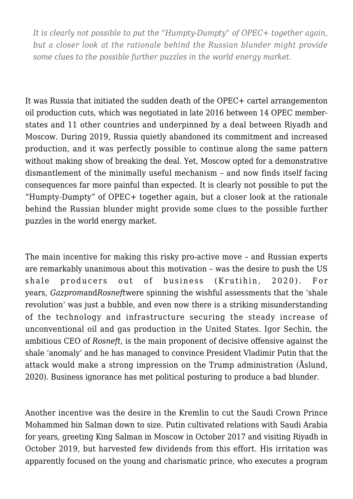*It is clearly not possible to put the "Humpty-Dumpty" of OPEC+ together again, but a closer look at the rationale behind the Russian blunder might provide some clues to the possible further puzzles in the world energy market.*

It was Russia that initiated the sudden death of the OPEC+ cartel arrangementon oil production cuts, which was negotiated in late 2016 between 14 OPEC memberstates and 11 other countries and underpinned by a deal between Riyadh and Moscow. During 2019, Russia quietly abandoned its commitment and increased production, and it was perfectly possible to continue along the same pattern without making show of breaking the deal. Yet, Moscow opted for a demonstrative dismantlement of the minimally useful mechanism – and now finds itself facing consequences far more painful than expected. It is clearly not possible to put the "Humpty-Dumpty" of OPEC+ together again, but a closer look at the rationale behind the Russian blunder might provide some clues to the possible further puzzles in the world energy market.

The main incentive for making this risky pro-active move – and Russian experts are remarkably unanimous about this motivation – was the desire to push the US shale producers out of business (Krutihin, 2020). For years, *Gazprom*and*Rosneft*were spinning the wishful assessments that the 'shale revolution' was just a bubble, and even now there is a striking misunderstanding of the technology and infrastructure securing the steady increase of unconventional oil and gas production in the United States. Igor Sechin, the ambitious CEO of *Rosneft*, is the main proponent of decisive offensive against the shale 'anomaly' and he has managed to convince President Vladimir Putin that the attack would make a strong impression on the Trump administration (Åslund, 2020). Business ignorance has met political posturing to produce a bad blunder.

Another incentive was the desire in the Kremlin to cut the Saudi Crown Prince Mohammed bin Salman down to size. Putin cultivated relations with Saudi Arabia for years, greeting King Salman in Moscow in October 2017 and visiting Riyadh in October 2019, but harvested few dividends from this effort. His irritation was apparently focused on the young and charismatic prince, who executes a program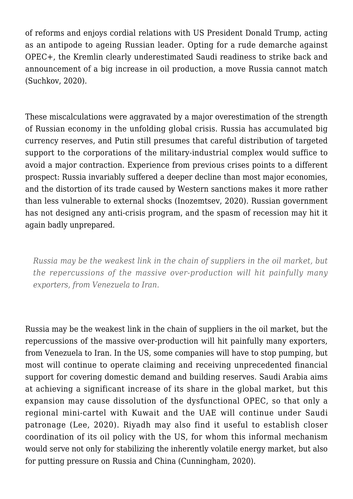of reforms and enjoys cordial relations with US President Donald Trump, acting as an antipode to ageing Russian leader. Opting for a rude demarche against OPEC+, the Kremlin clearly underestimated Saudi readiness to strike back and announcement of a big increase in oil production, a move Russia cannot match (Suchkov, 2020).

These miscalculations were aggravated by a major overestimation of the strength of Russian economy in the unfolding global crisis. Russia has accumulated big currency reserves, and Putin still presumes that careful distribution of targeted support to the corporations of the military-industrial complex would suffice to avoid a major contraction. Experience from previous crises points to a different prospect: Russia invariably suffered a deeper decline than most major economies, and the distortion of its trade caused by Western sanctions makes it more rather than less vulnerable to external shocks (Inozemtsev, 2020). Russian government has not designed any anti-crisis program, and the spasm of recession may hit it again badly unprepared.

*Russia may be the weakest link in the chain of suppliers in the oil market, but the repercussions of the massive over-production will hit painfully many exporters, from Venezuela to Iran.*

Russia may be the weakest link in the chain of suppliers in the oil market, but the repercussions of the massive over-production will hit painfully many exporters, from Venezuela to Iran. In the US, some companies will have to stop pumping, but most will continue to operate claiming and receiving unprecedented financial support for covering domestic demand and building reserves. Saudi Arabia aims at achieving a significant increase of its share in the global market, but this expansion may cause dissolution of the dysfunctional OPEC, so that only a regional mini-cartel with Kuwait and the UAE will continue under Saudi patronage (Lee, 2020). Riyadh may also find it useful to establish closer coordination of its oil policy with the US, for whom this informal mechanism would serve not only for stabilizing the inherently volatile energy market, but also for putting pressure on Russia and China (Cunningham, 2020).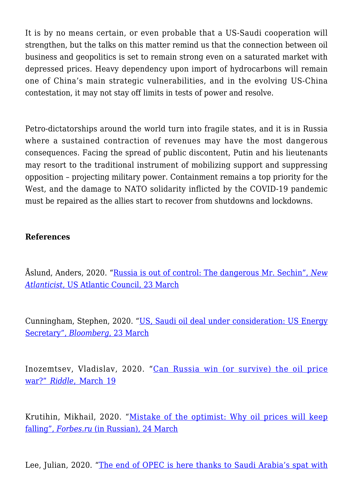It is by no means certain, or even probable that a US-Saudi cooperation will strengthen, but the talks on this matter remind us that the connection between oil business and geopolitics is set to remain strong even on a saturated market with depressed prices. Heavy dependency upon import of hydrocarbons will remain one of China's main strategic vulnerabilities, and in the evolving US-China contestation, it may not stay off limits in tests of power and resolve.

Petro-dictatorships around the world turn into fragile states, and it is in Russia where a sustained contraction of revenues may have the most dangerous consequences. Facing the spread of public discontent, Putin and his lieutenants may resort to the traditional instrument of mobilizing support and suppressing opposition – projecting military power. Containment remains a top priority for the West, and the damage to NATO solidarity inflicted by the COVID-19 pandemic must be repaired as the allies start to recover from shutdowns and lockdowns.

## **References**

Åslund, Anders, 2020. ["Russia is out of control: The dangerous Mr. Sechin",](https://atlanticcouncil.org/blogs/new-atlanticist/russia-is-out-of-control-the-dangerous-mr-sechin/) *[New](https://atlanticcouncil.org/blogs/new-atlanticist/russia-is-out-of-control-the-dangerous-mr-sechin/) [Atlanticist](https://atlanticcouncil.org/blogs/new-atlanticist/russia-is-out-of-control-the-dangerous-mr-sechin/)*[, US Atlantic Council, 23 March](https://atlanticcouncil.org/blogs/new-atlanticist/russia-is-out-of-control-the-dangerous-mr-sechin/)

Cunningham, Stephen, 2020. ["US, Saudi oil deal under consideration: US Energy](https://www.bloomberg.com/news/articles/2020-03-23/u-s-saudi-oil-accord-one-idea-discussed-energy-secretary-says) [Secretary",](https://www.bloomberg.com/news/articles/2020-03-23/u-s-saudi-oil-accord-one-idea-discussed-energy-secretary-says) *[Bloomberg](https://www.bloomberg.com/news/articles/2020-03-23/u-s-saudi-oil-accord-one-idea-discussed-energy-secretary-says)*[, 23 March](https://www.bloomberg.com/news/articles/2020-03-23/u-s-saudi-oil-accord-one-idea-discussed-energy-secretary-says)

Inozemtsev, Vladislav, 2020. "[Can Russia win \(or survive\) the oil price](https://www.ridl.io/en/can-russia-win-or-survive-the-oil-price-war/) [war?"](https://www.ridl.io/en/can-russia-win-or-survive-the-oil-price-war/) *[Riddle](https://www.ridl.io/en/can-russia-win-or-survive-the-oil-price-war/)*[, March 19](https://www.ridl.io/en/can-russia-win-or-survive-the-oil-price-war/)

Krutihin, Mikhail, 2020. "[Mistake of the optimist: Why oil prices will keep](https://www.forbes.ru/biznes/395787-oshibka-optimista-pochemu-ceny-na-neft-prodolzhat-svoe-padenie) [falling",](https://www.forbes.ru/biznes/395787-oshibka-optimista-pochemu-ceny-na-neft-prodolzhat-svoe-padenie) *[Forbes.ru](https://www.forbes.ru/biznes/395787-oshibka-optimista-pochemu-ceny-na-neft-prodolzhat-svoe-padenie)* [\(in Russian\), 24 March](https://www.forbes.ru/biznes/395787-oshibka-optimista-pochemu-ceny-na-neft-prodolzhat-svoe-padenie)

Lee, Julian, 2020. "[The end of OPEC is here thanks to Saudi Arabia's spat with](https://www.bloomberg.com/opinion/articles/2020-03-17/the-end-of-opec-is-here-thanks-to-saudi-arabia-s-spat-with-russia)